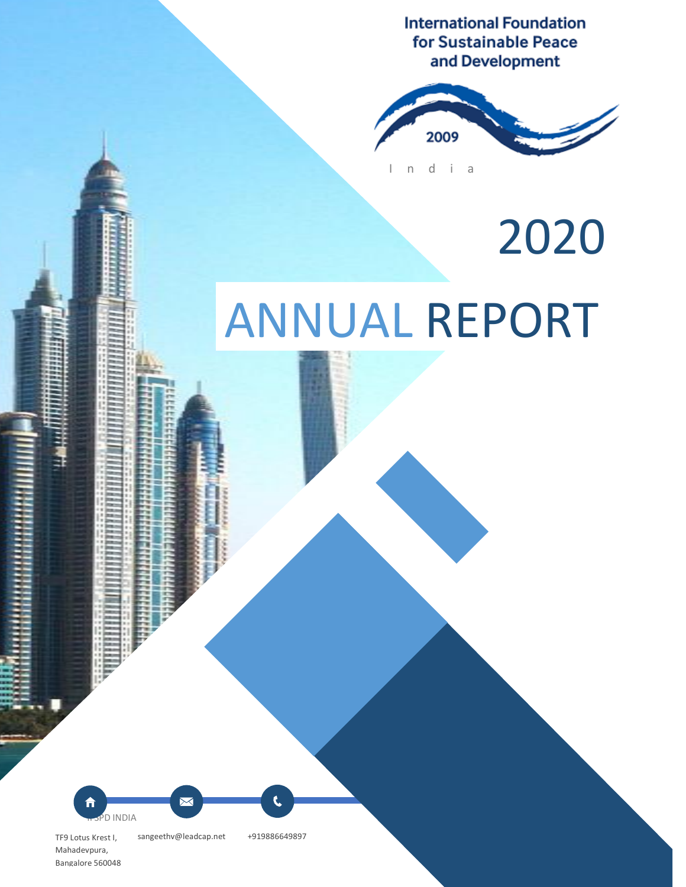**International Foundation** for Sustainable Peace and Development



2020

# ANNUAL REPORT

<u>IFSP<sup>D</sup> INDIA</u> 1999 TO 1999 TO 1999 TO 1999 TO 1999 TO 1999 TO 1999 TO 1999 TO 1999 TO 1999 TO 1999 TO 1999 TO 1999

**Foreword**

TF9 Lotus Krest I, sangeethv@leadcap.net +919886649897

 $\boxtimes$ 

Mahadevpura, Bangalore 560048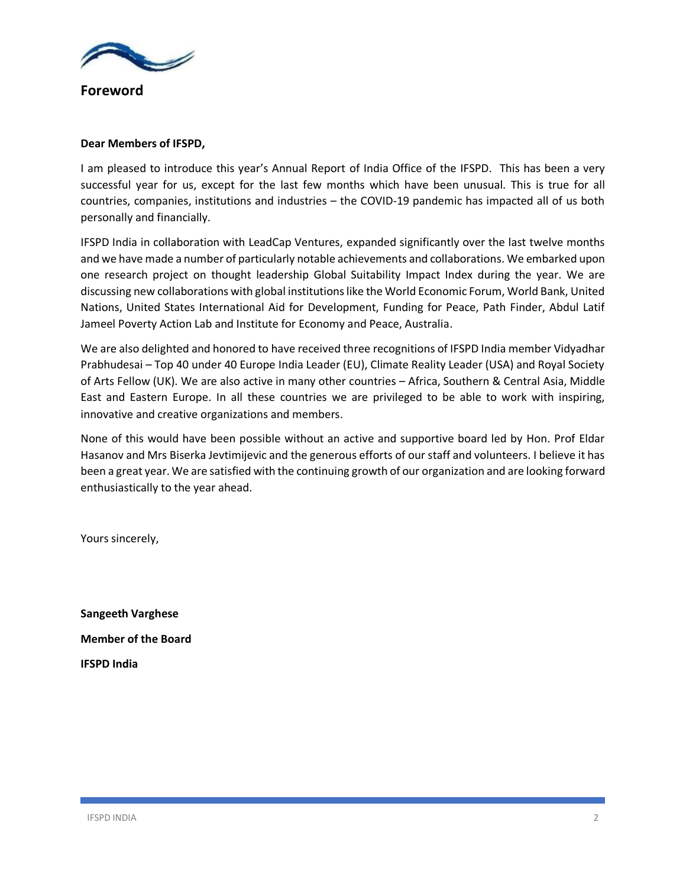

**Foreword**

### **Dear Members of IFSPD,**

I am pleased to introduce this year's Annual Report of India Office of the IFSPD. This has been a very successful year for us, except for the last few months which have been unusual. This is true for all countries, companies, institutions and industries – the COVID-19 pandemic has impacted all of us both personally and financially.

IFSPD India in collaboration with LeadCap Ventures, expanded significantly over the last twelve months and we have made a number of particularly notable achievements and collaborations. We embarked upon one research project on thought leadership Global Suitability Impact Index during the year. We are discussing new collaborations with global institutions like the World Economic Forum, World Bank, United Nations, United States International Aid for Development, Funding for Peace, Path Finder, Abdul Latif Jameel Poverty Action Lab and Institute for Economy and Peace, Australia.

We are also delighted and honored to have received three recognitions of IFSPD India member Vidyadhar Prabhudesai – Top 40 under 40 Europe India Leader (EU), Climate Reality Leader (USA) and Royal Society of Arts Fellow (UK). We are also active in many other countries – Africa, Southern & Central Asia, Middle East and Eastern Europe. In all these countries we are privileged to be able to work with inspiring, innovative and creative organizations and members.

None of this would have been possible without an active and supportive board led by Hon. Prof Eldar Hasanov and Mrs Biserka Jevtimijevic and the generous efforts of our staff and volunteers. I believe it has been a great year. We are satisfied with the continuing growth of our organization and are looking forward enthusiastically to the year ahead.

Yours sincerely,

**Sangeeth Varghese Member of the Board IFSPD India**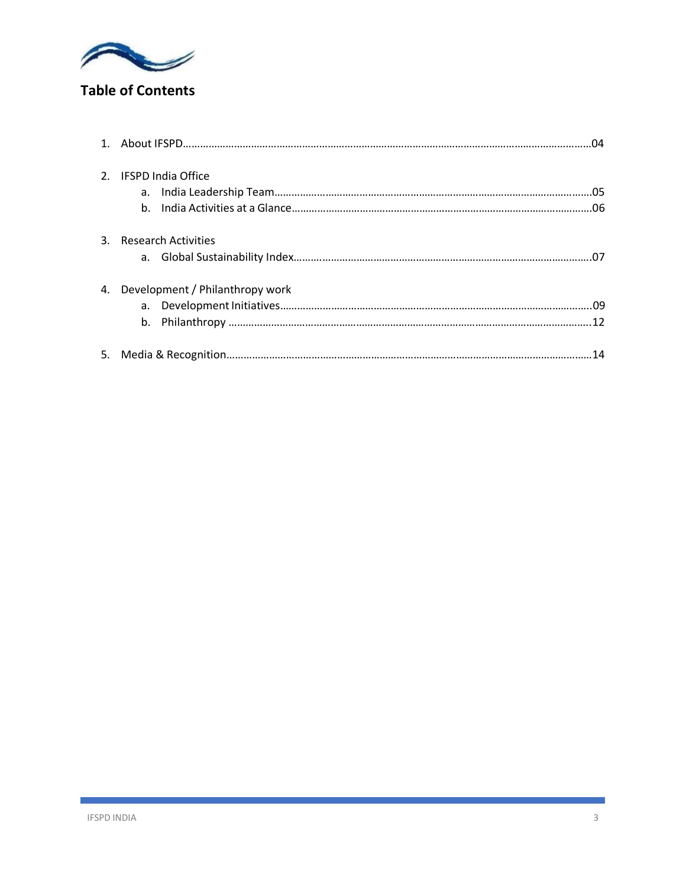

# **Table of Contents**

|    | 2. IFSPD India Office           |  |  |  |  |
|----|---------------------------------|--|--|--|--|
|    | 3. Research Activities          |  |  |  |  |
| 4. | Development / Philanthropy work |  |  |  |  |
|    |                                 |  |  |  |  |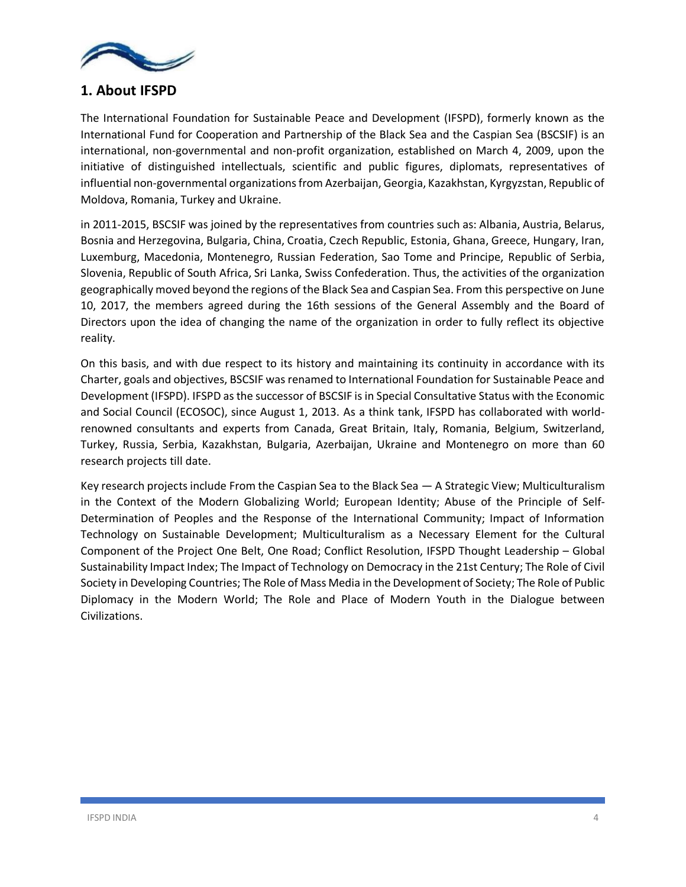

# **1. About IFSPD**

The International Foundation for Sustainable Peace and Development (IFSPD), formerly known as the International Fund for Cooperation and Partnership of the Black Sea and the Caspian Sea (BSCSIF) is an international, non-governmental and non-profit organization, established on March 4, 2009, upon the initiative of distinguished intellectuals, scientific and public figures, diplomats, representatives of influential non-governmental organizations from Azerbaijan, Georgia, Kazakhstan, Kyrgyzstan, Republic of Moldova, Romania, Turkey and Ukraine.

in 2011-2015, BSCSIF was joined by the representatives from countries such as: Albania, Austria, Belarus, Bosnia and Herzegovina, Bulgaria, China, Croatia, Czech Republic, Estonia, Ghana, Greece, Hungary, Iran, Luxemburg, Macedonia, Montenegro, Russian Federation, Sao Tome and Principe, Republic of Serbia, Slovenia, Republic of South Africa, Sri Lanka, Swiss Confederation. Thus, the activities of the organization geographically moved beyond the regions of the Black Sea and Caspian Sea. From this perspective on June 10, 2017, the members agreed during the 16th sessions of the General Assembly and the Board of Directors upon the idea of changing the name of the organization in order to fully reflect its objective reality.

On this basis, and with due respect to its history and maintaining its continuity in accordance with its Charter, goals and objectives, BSCSIF was renamed to International Foundation for Sustainable Peace and Development (IFSPD). IFSPD as the successor of BSCSIF is in Special Consultative Status with the Economic and Social Council (ECOSOC), since August 1, 2013. As a think tank, IFSPD has collaborated with worldrenowned consultants and experts from Canada, Great Britain, Italy, Romania, Belgium, Switzerland, Turkey, Russia, Serbia, Kazakhstan, Bulgaria, Azerbaijan, Ukraine and Montenegro on more than 60 research projects till date.

Key research projects include From the Caspian Sea to the Black Sea — A Strategic View; Multiculturalism in the Context of the Modern Globalizing World; European Identity; Abuse of the Principle of Self-Determination of Peoples and the Response of the International Community; Impact of Information Technology on Sustainable Development; Multiculturalism as a Necessary Element for the Cultural Component of the Project One Belt, One Road; Conflict Resolution, IFSPD Thought Leadership – Global Sustainability Impact Index; The Impact of Technology on Democracy in the 21st Century; The Role of Civil Society in Developing Countries; The Role of Mass Media in the Development of Society; The Role of Public Diplomacy in the Modern World; The Role and Place of Modern Youth in the Dialogue between Civilizations.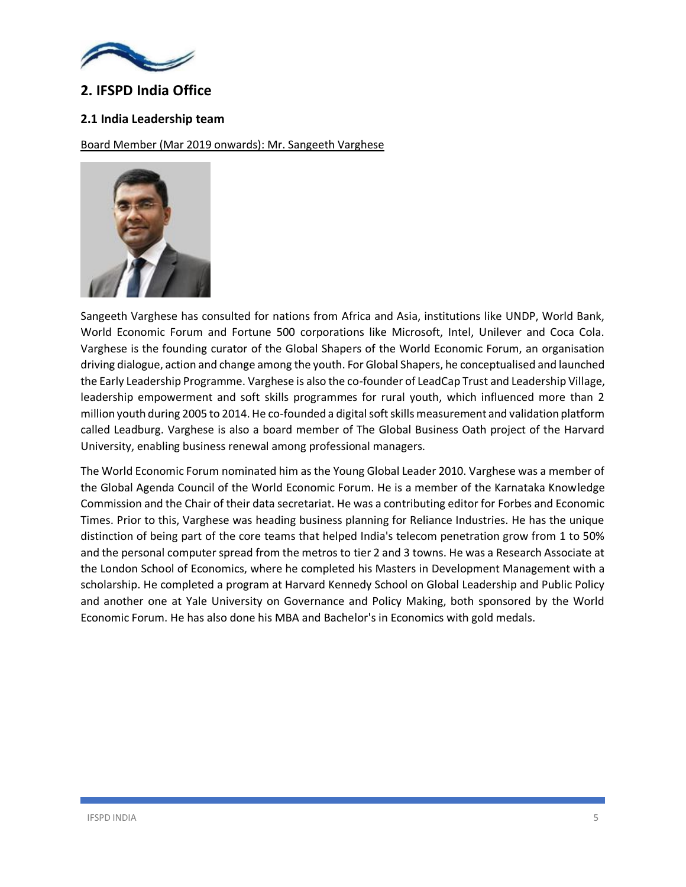

# **2. IFSPD India Office**

### **2.1 India Leadership team**

Board Member (Mar 2019 onwards): Mr. Sangeeth Varghese



Sangeeth Varghese has consulted for nations from Africa and Asia, institutions like UNDP, World Bank, World Economic Forum and Fortune 500 corporations like Microsoft, Intel, Unilever and Coca Cola. Varghese is the founding curator of the Global Shapers of the World Economic Forum, an organisation driving dialogue, action and change among the youth. For Global Shapers, he conceptualised and launched the Early Leadership Programme. Varghese is also the co-founder of LeadCap Trust and Leadership Village, leadership empowerment and soft skills programmes for rural youth, which influenced more than 2 million youth during 2005 to 2014. He co-founded a digital soft skills measurement and validation platform called Leadburg. Varghese is also a board member of The Global Business Oath project of the Harvard University, enabling business renewal among professional managers.

The World Economic Forum nominated him as the Young Global Leader 2010. Varghese was a member of the Global Agenda Council of the World Economic Forum. He is a member of the Karnataka Knowledge Commission and the Chair of their data secretariat. He was a contributing editor for Forbes and Economic Times. Prior to this, Varghese was heading business planning for Reliance Industries. He has the unique distinction of being part of the core teams that helped India's telecom penetration grow from 1 to 50% and the personal computer spread from the metros to tier 2 and 3 towns. He was a Research Associate at the London School of Economics, where he completed his Masters in Development Management with a scholarship. He completed a program at Harvard Kennedy School on Global Leadership and Public Policy and another one at Yale University on Governance and Policy Making, both sponsored by the World Economic Forum. He has also done his MBA and Bachelor's in Economics with gold medals.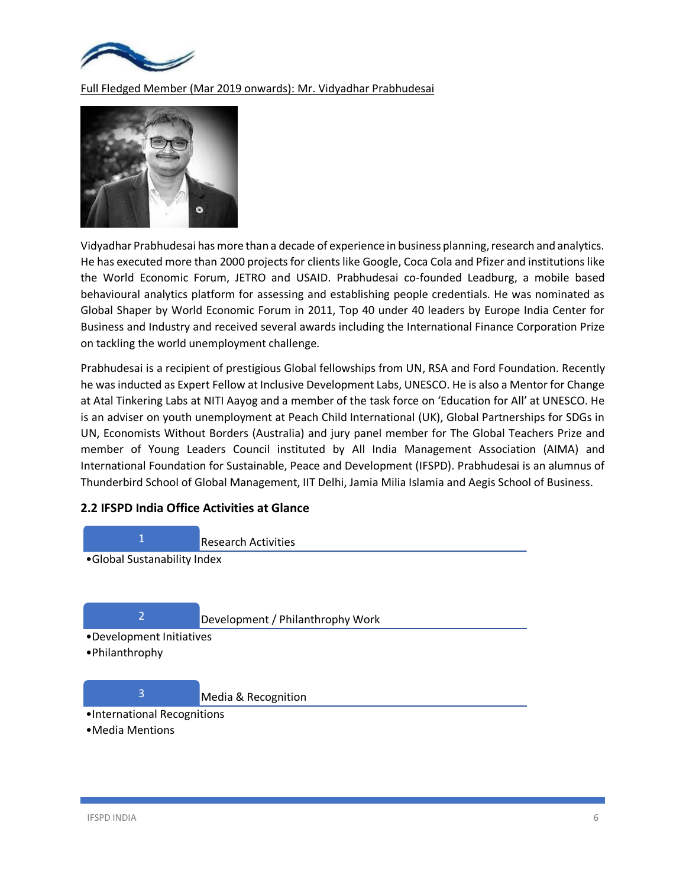

Full Fledged Member (Mar 2019 onwards): Mr. Vidyadhar Prabhudesai



Vidyadhar Prabhudesai has more than a decade of experience in business planning, research and analytics. He has executed more than 2000 projects for clients like Google, Coca Cola and Pfizer and institutions like the World Economic Forum, JETRO and USAID. Prabhudesai co-founded Leadburg, a mobile based behavioural analytics platform for assessing and establishing people credentials. He was nominated as Global Shaper by World Economic Forum in 2011, Top 40 under 40 leaders by Europe India Center for Business and Industry and received several awards including the International Finance Corporation Prize on tackling the world unemployment challenge.

Prabhudesai is a recipient of prestigious Global fellowships from UN, RSA and Ford Foundation. Recently he was inducted as Expert Fellow at Inclusive Development Labs, UNESCO. He is also a Mentor for Change at Atal Tinkering Labs at NITI Aayog and a member of the task force on 'Education for All' at UNESCO. He is an adviser on youth unemployment at Peach Child International (UK), Global Partnerships for SDGs in UN, Economists Without Borders (Australia) and jury panel member for The Global Teachers Prize and member of Young Leaders Council instituted by All India Management Association (AIMA) and International Foundation for Sustainable, Peace and Development (IFSPD). Prabhudesai is an alumnus of Thunderbird School of Global Management, IIT Delhi, Jamia Milia Islamia and Aegis School of Business.

### **2.2 IFSPD India Office Activities at Glance**

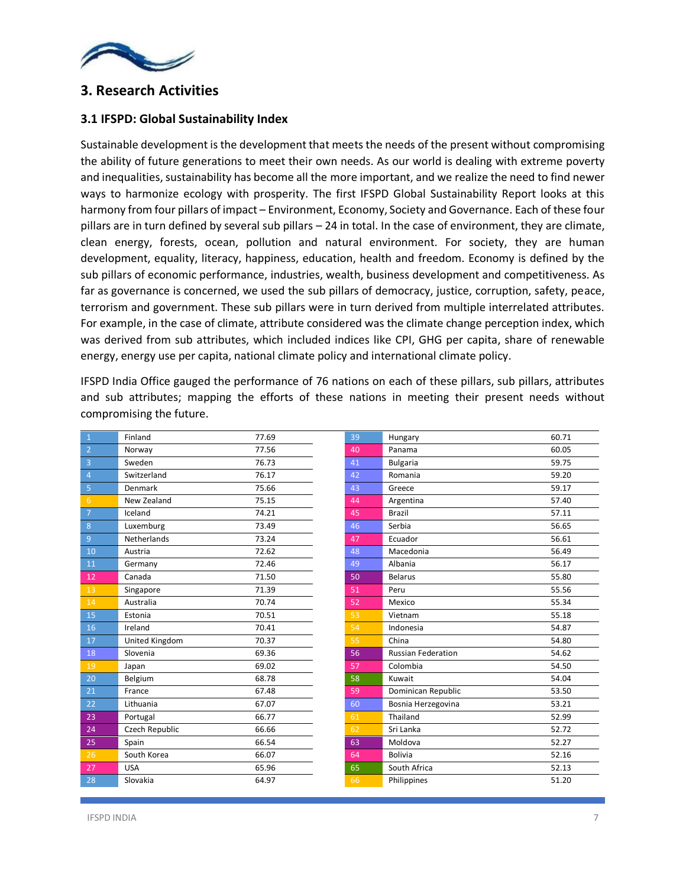

# **3. Research Activities**

### **3.1 IFSPD: Global Sustainability Index**

Sustainable development is the development that meets the needs of the present without compromising the ability of future generations to meet their own needs. As our world is dealing with extreme poverty and inequalities, sustainability has become all the more important, and we realize the need to find newer ways to harmonize ecology with prosperity. The first IFSPD Global Sustainability Report looks at this harmony from four pillars of impact – Environment, Economy, Society and Governance. Each of these four pillars are in turn defined by several sub pillars – 24 in total. In the case of environment, they are climate, clean energy, forests, ocean, pollution and natural environment. For society, they are human development, equality, literacy, happiness, education, health and freedom. Economy is defined by the sub pillars of economic performance, industries, wealth, business development and competitiveness. As far as governance is concerned, we used the sub pillars of democracy, justice, corruption, safety, peace, terrorism and government. These sub pillars were in turn derived from multiple interrelated attributes. For example, in the case of climate, attribute considered was the climate change perception index, which was derived from sub attributes, which included indices like CPI, GHG per capita, share of renewable energy, energy use per capita, national climate policy and international climate policy.

IFSPD India Office gauged the performance of 76 nations on each of these pillars, sub pillars, attributes and sub attributes; mapping the efforts of these nations in meeting their present needs without compromising the future.

| 1              | Finland        | 77.69 | 39 | Hungary                   | 60.71 |
|----------------|----------------|-------|----|---------------------------|-------|
| $\overline{2}$ | Norway         | 77.56 | 40 | Panama                    | 60.05 |
| $\overline{3}$ | Sweden         | 76.73 | 41 | <b>Bulgaria</b>           | 59.75 |
| $\overline{4}$ | Switzerland    | 76.17 | 42 | Romania                   | 59.20 |
| 5              | Denmark        | 75.66 | 43 | Greece                    | 59.17 |
| 6              | New Zealand    | 75.15 | 44 | Argentina                 | 57.40 |
| $\overline{7}$ | Iceland        | 74.21 | 45 | <b>Brazil</b>             | 57.11 |
| $8\phantom{1}$ | Luxemburg      | 73.49 | 46 | Serbia                    | 56.65 |
| $\overline{9}$ | Netherlands    | 73.24 | 47 | Ecuador                   | 56.61 |
| 10             | Austria        | 72.62 | 48 | Macedonia                 | 56.49 |
| 11             | Germany        | 72.46 | 49 | Albania                   | 56.17 |
| 12             | Canada         | 71.50 | 50 | <b>Belarus</b>            | 55.80 |
| 13             | Singapore      | 71.39 | 51 | Peru                      | 55.56 |
| 14             | Australia      | 70.74 | 52 | Mexico                    | 55.34 |
| 15             | Estonia        | 70.51 | 53 | Vietnam                   | 55.18 |
| 16             | Ireland        | 70.41 | 54 | Indonesia                 | 54.87 |
| 17             | United Kingdom | 70.37 | 55 | China                     | 54.80 |
| 18             | Slovenia       | 69.36 | 56 | <b>Russian Federation</b> | 54.62 |
| 19             | Japan          | 69.02 | 57 | Colombia                  | 54.50 |
| 20             | Belgium        | 68.78 | 58 | Kuwait                    | 54.04 |
| 21             | France         | 67.48 | 59 | Dominican Republic        | 53.50 |
| 22             | Lithuania      | 67.07 | 60 | Bosnia Herzegovina        | 53.21 |
| 23             | Portugal       | 66.77 | 61 | Thailand                  | 52.99 |
| 24             | Czech Republic | 66.66 | 62 | Sri Lanka                 | 52.72 |
| 25             | Spain          | 66.54 | 63 | Moldova                   | 52.27 |
| 26             | South Korea    | 66.07 | 64 | <b>Bolivia</b>            | 52.16 |
| 27             | <b>USA</b>     | 65.96 | 65 | South Africa              | 52.13 |
| 28             | Slovakia       | 64.97 | 66 | Philippines               | 51.20 |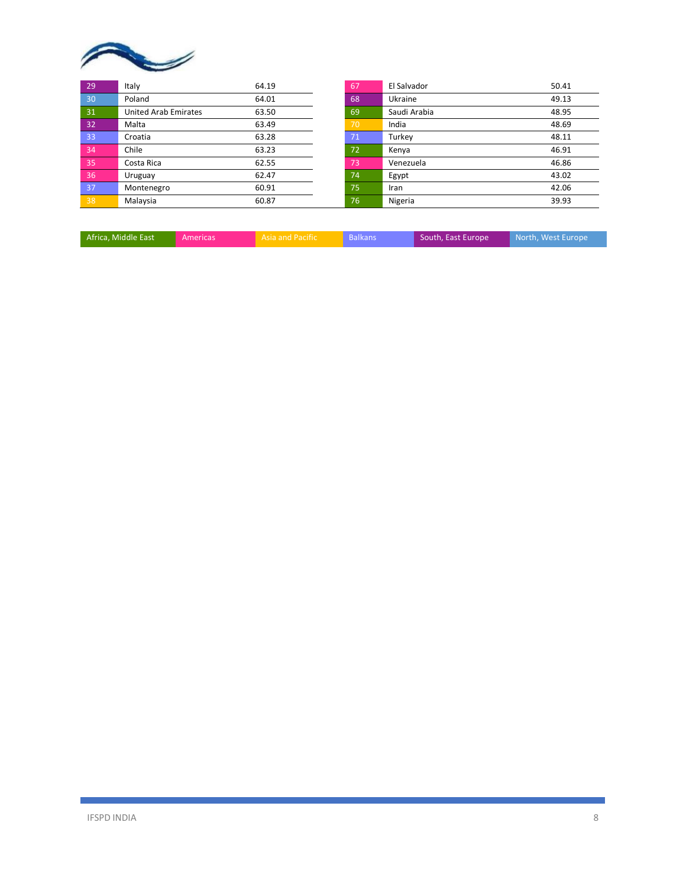

| 29 | Italy                       | 64.19 | 67  | El Salvador  | 50.41 |
|----|-----------------------------|-------|-----|--------------|-------|
| 30 | Poland                      | 64.01 | 68  | Ukraine      | 49.13 |
| 31 | <b>United Arab Emirates</b> | 63.50 | 69  | Saudi Arabia | 48.95 |
| 32 | Malta                       | 63.49 | 70  | India        | 48.69 |
| 33 | Croatia                     | 63.28 | 71  | Turkey       | 48.11 |
| 34 | Chile                       | 63.23 | 72  | Kenya        | 46.91 |
| 35 | Costa Rica                  | 62.55 | 73  | Venezuela    | 46.86 |
| 36 | Uruguay                     | 62.47 | 74  | Egypt        | 43.02 |
| 37 | Montenegro                  | 60.91 | 75  | Iran         | 42.06 |
| 38 | Malaysia                    | 60.87 | 76' | Nigeria      | 39.93 |

| Africa, Middle East | Americas' | <b>Asia and Pacific</b> | <b>Balkans</b> | South, East Europe | North, West Europe |
|---------------------|-----------|-------------------------|----------------|--------------------|--------------------|
|                     |           |                         |                |                    |                    |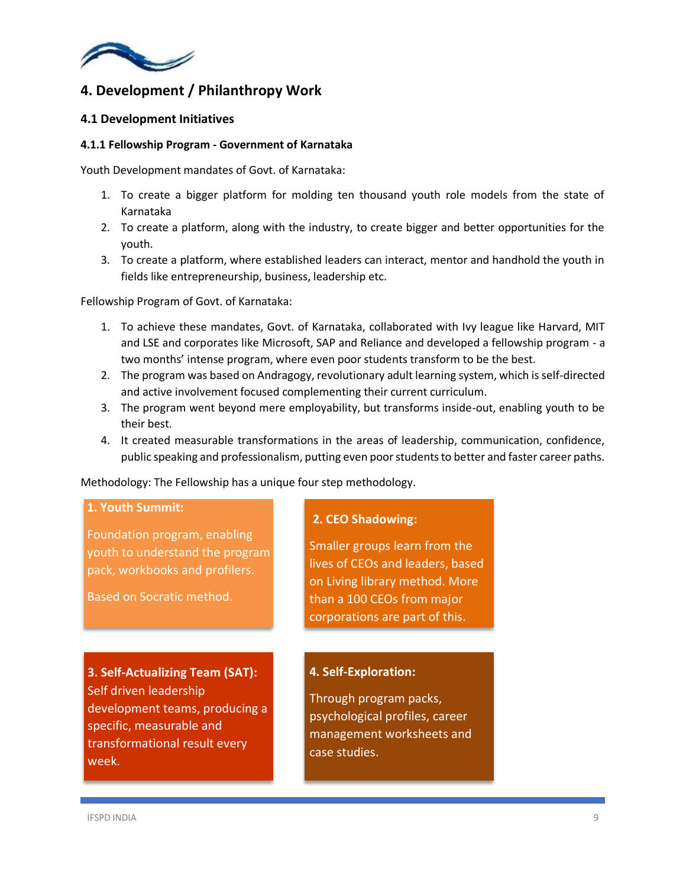

# **4. Development / Philanthropy Work**

### **4.1 Development Initiatives**

### **4.1.1 Fellowship Program - Government of Karnataka**

Youth Development mandates of Govt. of Karnataka:

- 1. To create a bigger platform for molding ten thousand youth role models from the state of Karnataka
- 2. To create a platform, along with the industry, to create bigger and better opportunities for the youth.
- 3. To create a platform, where established leaders can interact, mentor and handhold the youth in fields like entrepreneurship, business, leadership etc.

Fellowship Program of Govt. of Karnataka:

- 1. To achieve these mandates, Govt. of Karnataka, collaborated with Ivy league like Harvard, MIT and LSE and corporates like Microsoft, SAP and Reliance and developed a fellowship program - a two months' intense program, where even poor students transform to be the best.
- 2. The program was based on Andragogy, revolutionary adult learning system, which is self-directed and active involvement focused complementing their current curriculum.
- 3. The program went beyond mere employability, but transforms inside-out, enabling youth to be their best.
- 4. It created measurable transformations in the areas of leadership, communication, confidence, public speaking and professionalism, putting even poor students to better and faster career paths.

Methodology: The Fellowship has a unique four step methodology.

### **1. Youth Summit:**

Foundation program, enabling youth to understand the program pack, workbooks and profilers.

Based on Socratic method.

**3. Self-Actualizing Team (SAT):**  Self driven leadership development teams, producing a specific, measurable and transformational result every week.

### **2. CEO Shadowing:**

Smaller groups learn from the lives of CEOs and leaders, based on Living library method. More than a 100 CEOs from major corporations are part of this.

### **4. Self-Exploration:**

Through program packs, psychological profiles, career management worksheets and case studies.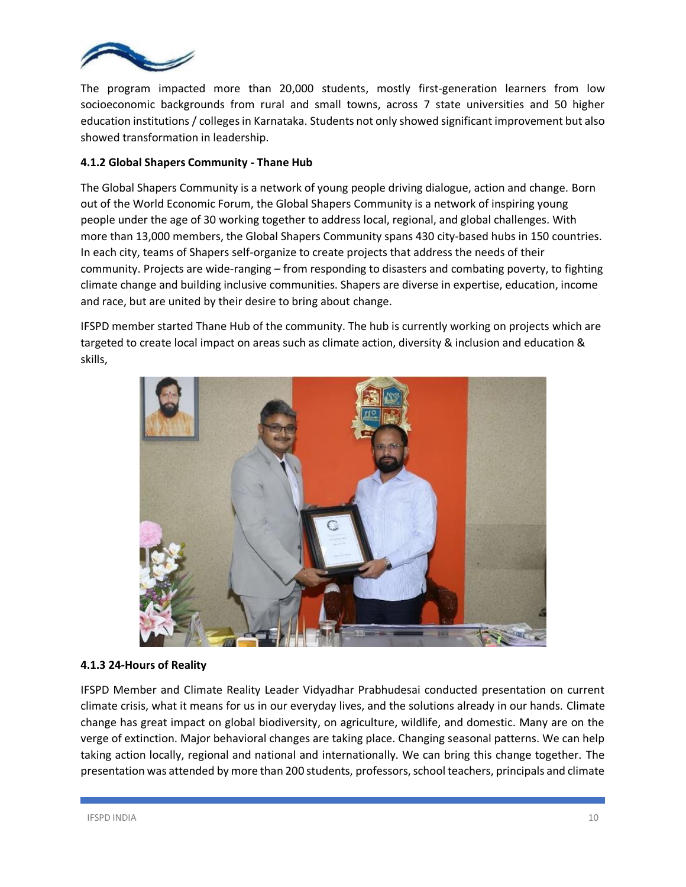

The program impacted more than 20,000 students, mostly first-generation learners from low socioeconomic backgrounds from rural and small towns, across 7 state universities and 50 higher education institutions / collegesin Karnataka. Students not only showed significant improvement but also showed transformation in leadership.

### **4.1.2 Global Shapers Community - Thane Hub**

The Global Shapers Community is a network of young people driving dialogue, action and change. Born out of the World Economic Forum, the Global Shapers Community is a network of inspiring young people under the age of 30 working together to address local, regional, and global challenges. With more than 13,000 members, the Global Shapers Community spans 430 city-based hubs in 150 countries. In each city, teams of Shapers self-organize to create projects that address the needs of their community. Projects are wide-ranging – from responding to disasters and combating poverty, to fighting climate change and building inclusive communities. Shapers are diverse in expertise, education, income and race, but are united by their desire to bring about change.

IFSPD member started Thane Hub of the community. The hub is currently working on projects which are targeted to create local impact on areas such as climate action, diversity & inclusion and education & skills,



### **4.1.3 24-Hours of Reality**

IFSPD Member and Climate Reality Leader Vidyadhar Prabhudesai conducted presentation on current climate crisis, what it means for us in our everyday lives, and the solutions already in our hands. Climate change has great impact on global biodiversity, on agriculture, wildlife, and domestic. Many are on the verge of extinction. Major behavioral changes are taking place. Changing seasonal patterns. We can help taking action locally, regional and national and internationally. We can bring this change together. The presentation was attended by more than 200 students, professors, school teachers, principals and climate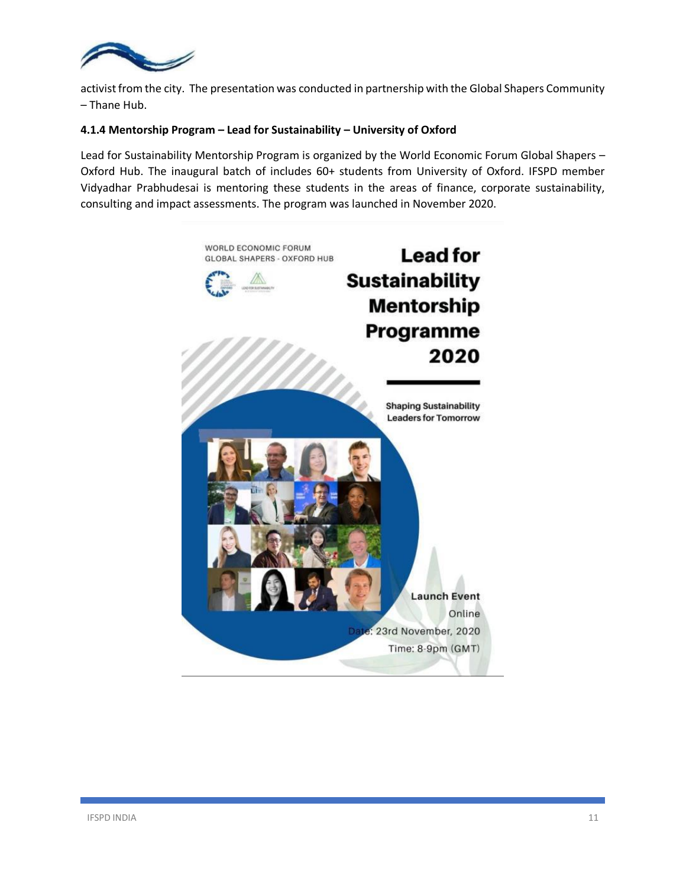

activist from the city. The presentation was conducted in partnership with the Global Shapers Community – Thane Hub.

### **4.1.4 Mentorship Program – Lead for Sustainability – University of Oxford**

Lead for Sustainability Mentorship Program is organized by the World Economic Forum Global Shapers – Oxford Hub. The inaugural batch of includes 60+ students from University of Oxford. IFSPD member Vidyadhar Prabhudesai is mentoring these students in the areas of finance, corporate sustainability, consulting and impact assessments. The program was launched in November 2020.

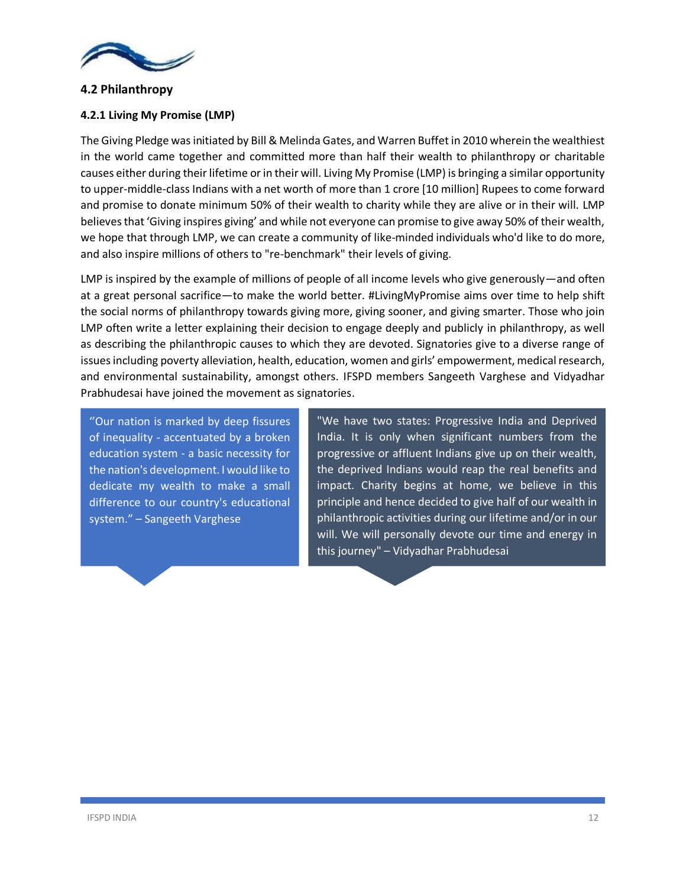

### **4.2 Philanthropy**

### **4.2.1 Living My Promise (LMP)**

The Giving Pledge was initiated by Bill & Melinda Gates, and Warren Buffet in 2010 wherein the wealthiest in the world came together and committed more than half their wealth to philanthropy or charitable causes either during their lifetime or in their will. Living My Promise (LMP) is bringing a similar opportunity to upper-middle-class Indians with a net worth of more than 1 crore [10 million] Rupees to come forward and promise to donate minimum 50% of their wealth to charity while they are alive or in their will. LMP believesthat 'Giving inspires giving' and while not everyone can promise to give away 50% of their wealth, we hope that through LMP, we can create a community of like-minded individuals who'd like to do more, and also inspire millions of others to "re-benchmark" their levels of giving.

LMP is inspired by the example of millions of people of all income levels who give generously—and often at a great personal sacrifice—to make the world better. #LivingMyPromise aims over time to help shift the social norms of philanthropy towards giving more, giving sooner, and giving smarter. Those who join LMP often write a letter explaining their decision to engage deeply and publicly in philanthropy, as well as describing the philanthropic causes to which they are devoted. Signatories give to a diverse range of issues including poverty alleviation, health, education, women and girls' empowerment, medical research, and environmental sustainability, amongst others. IFSPD members Sangeeth Varghese and Vidyadhar Prabhudesai have joined the movement as signatories.

''Our nation is marked by deep fissures of inequality - accentuated by a broken education system - a basic necessity for the nation's development. I would like to dedicate my wealth to make a small difference to our country's educational system." – Sangeeth Varghese

"We have two states: Progressive India and Deprived India. It is only when significant numbers from the progressive or affluent Indians give up on their wealth, the deprived Indians would reap the real benefits and impact. Charity begins at home, we believe in this principle and hence decided to give half of our wealth in philanthropic activities during our lifetime and/or in our will. We will personally devote our time and energy in this journey" – Vidyadhar Prabhudesai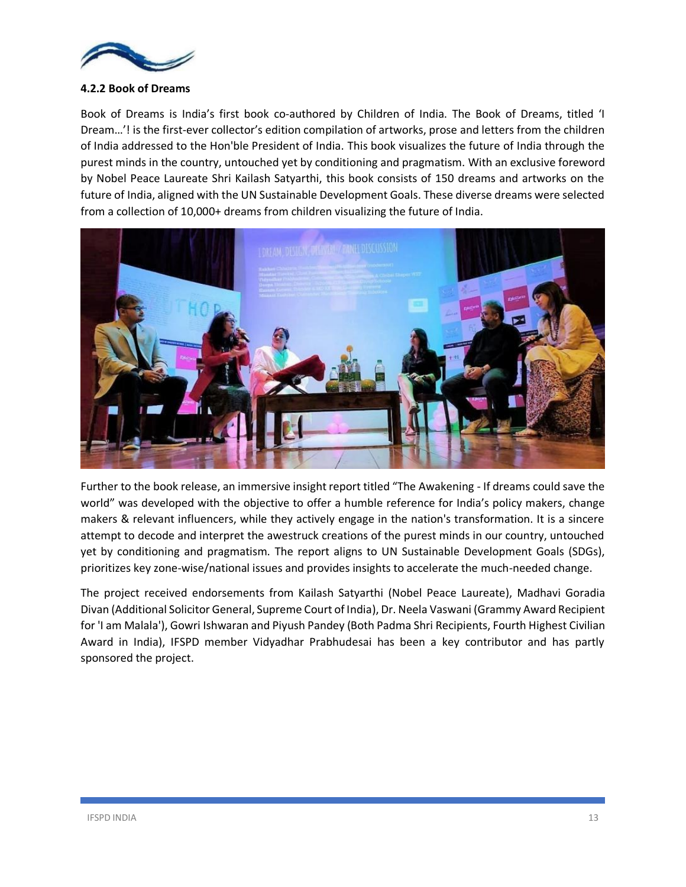

### **4.2.2 Book of Dreams**

Book of Dreams is India's first book co-authored by Children of India. The Book of Dreams, titled 'I Dream…'! is the first-ever collector's edition compilation of artworks, prose and letters from the children of India addressed to the Hon'ble President of India. This book visualizes the future of India through the purest minds in the country, untouched yet by conditioning and pragmatism. With an exclusive foreword by Nobel Peace Laureate Shri Kailash Satyarthi, this book consists of 150 dreams and artworks on the future of India, aligned with the UN Sustainable Development Goals. These diverse dreams were selected from a collection of 10,000+ dreams from children visualizing the future of India.



Further to the book release, an immersive insight report titled "The Awakening - If dreams could save the world" was developed with the objective to offer a humble reference for India's policy makers, change makers & relevant influencers, while they actively engage in the nation's transformation. It is a sincere attempt to decode and interpret the awestruck creations of the purest minds in our country, untouched yet by conditioning and pragmatism. The report aligns to UN Sustainable Development Goals (SDGs), prioritizes key zone-wise/national issues and provides insights to accelerate the much-needed change.

The project received endorsements from Kailash Satyarthi (Nobel Peace Laureate), Madhavi Goradia Divan (Additional Solicitor General, Supreme Court of India), Dr. Neela Vaswani (Grammy Award Recipient for 'I am Malala'), Gowri Ishwaran and Piyush Pandey (Both Padma Shri Recipients, Fourth Highest Civilian Award in India), IFSPD member Vidyadhar Prabhudesai has been a key contributor and has partly sponsored the project.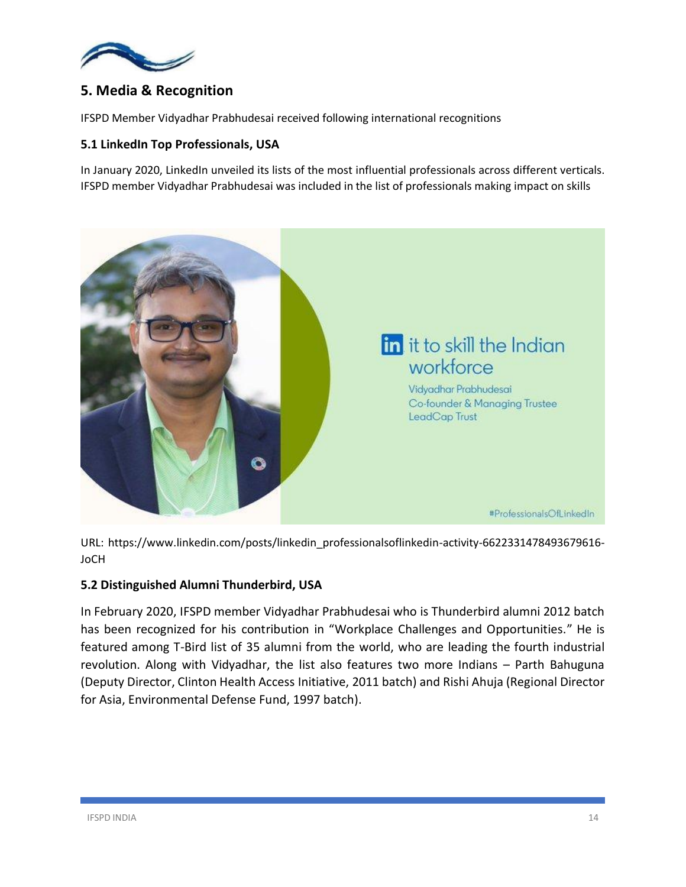

# **5. Media & Recognition**

IFSPD Member Vidyadhar Prabhudesai received following international recognitions

### **5.1 LinkedIn Top Professionals, USA**

In January 2020, LinkedIn unveiled its lists of the most influential professionals across different verticals. IFSPD member Vidyadhar Prabhudesai was included in the list of professionals making impact on skills



URL: https://www.linkedin.com/posts/linkedin\_professionalsoflinkedin-activity-6622331478493679616- JoCH

### **5.2 Distinguished Alumni Thunderbird, USA**

In February 2020, IFSPD member Vidyadhar Prabhudesai who is Thunderbird alumni 2012 batch has been recognized for his contribution in "Workplace Challenges and Opportunities." He is featured among T-Bird list of 35 alumni from the world, who are leading the fourth industrial revolution. Along with Vidyadhar, the list also features two more Indians – Parth Bahuguna (Deputy Director, Clinton Health Access Initiative, 2011 batch) and Rishi Ahuja (Regional Director for Asia, Environmental Defense Fund, 1997 batch).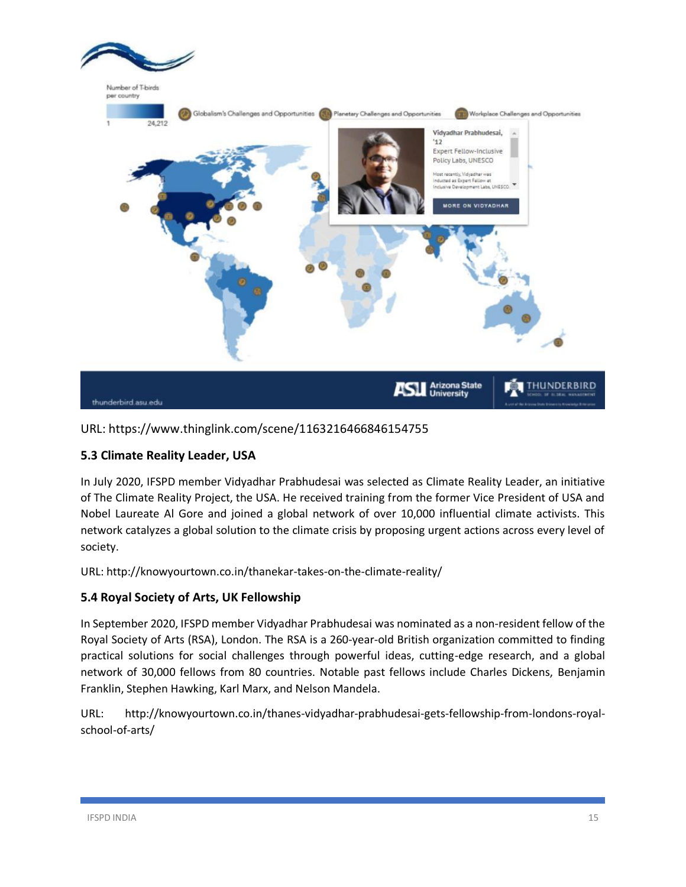

URL: https://www.thinglink.com/scene/1163216466846154755

# **5.3 Climate Reality Leader, USA**

In July 2020, IFSPD member Vidyadhar Prabhudesai was selected as Climate Reality Leader, an initiative of The Climate Reality Project, the USA. He received training from the former Vice President of USA and Nobel Laureate Al Gore and joined a global network of over 10,000 influential climate activists. This network catalyzes a global solution to the climate crisis by proposing urgent actions across every level of society.

URL: http://knowyourtown.co.in/thanekar-takes-on-the-climate-reality/

# **5.4 Royal Society of Arts, UK Fellowship**

In September 2020, IFSPD member Vidyadhar Prabhudesai was nominated as a non-resident fellow of the Royal Society of Arts (RSA), London. The RSA is a 260-year-old British organization committed to finding practical solutions for social challenges through powerful ideas, cutting-edge research, and a global network of 30,000 fellows from 80 countries. Notable past fellows include Charles Dickens, Benjamin Franklin, Stephen Hawking, Karl Marx, and Nelson Mandela.

URL: http://knowyourtown.co.in/thanes-vidyadhar-prabhudesai-gets-fellowship-from-londons-royalschool-of-arts/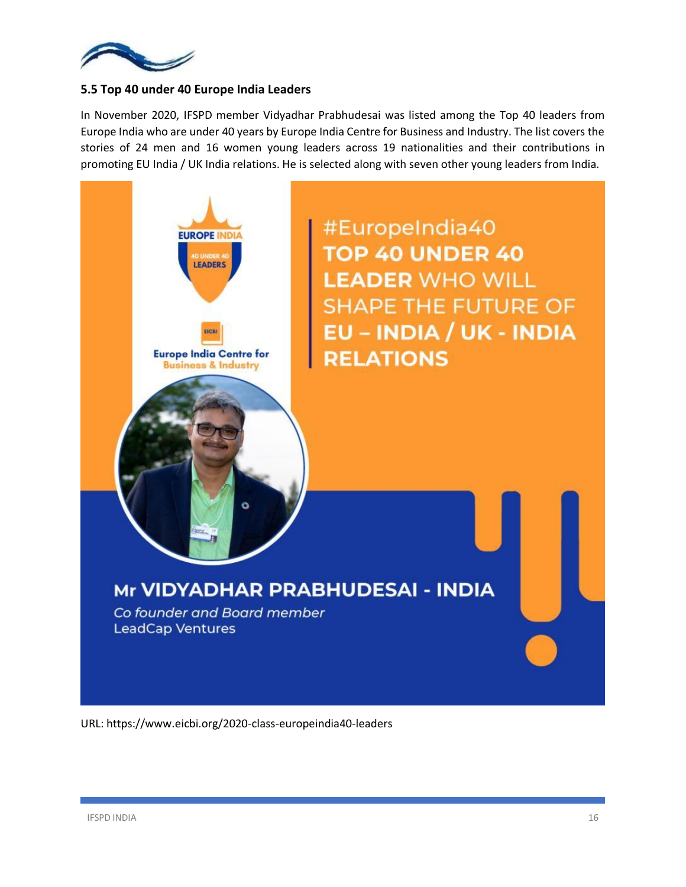

### **5.5 Top 40 under 40 Europe India Leaders**

In November 2020, IFSPD member Vidyadhar Prabhudesai was listed among the Top 40 leaders from Europe India who are under 40 years by Europe India Centre for Business and Industry. The list covers the stories of 24 men and 16 women young leaders across 19 nationalities and their contributions in promoting EU India / UK India relations. He is selected along with seven other young leaders from India.



URL: https://www.eicbi.org/2020-class-europeindia40-leaders